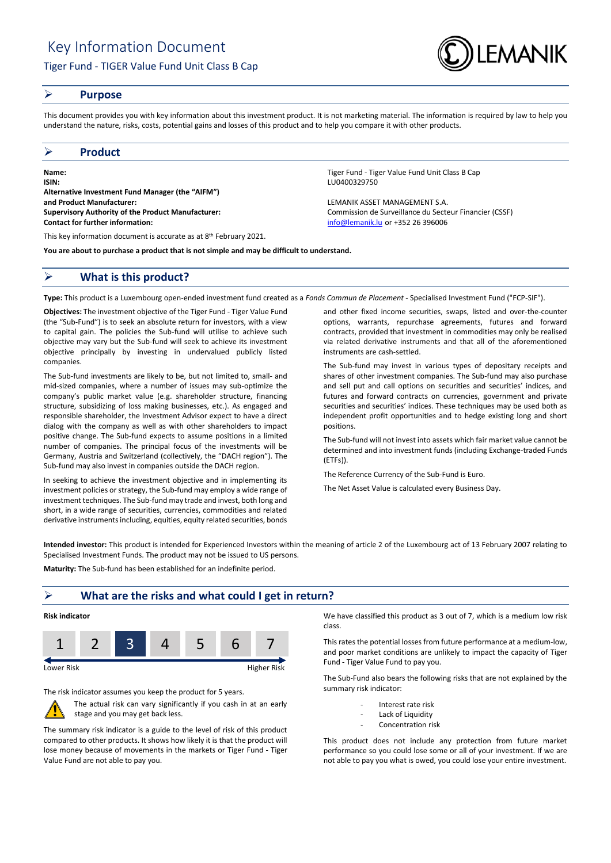

## **Purpose**

This document provides you with key information about this investment product. It is not marketing material. The information is required by law to help you understand the nature, risks, costs, potential gains and losses of this product and to help you compare it with other products.

## **Product**

**Name:** Tiger Fund - Tiger Value Fund Unit Class B Cap **ISIN:** LU0400329750 **Alternative Investment Fund Manager (the "AIFM") and Product Manufacturer:** LEMANIK ASSET MANAGEMENT S.A. **Supervisory Authority of the Product Manufacturer:** Commission de Surveillance du Secteur Financier (CSSF) **Contact for further information:** [info@lemanik.lu](mailto:info@lemanik.lu) or +352 26 396006

This key information document is accurate as at 8<sup>th</sup> February 2021.

**You are about to purchase a product that is not simple and may be difficult to understand.**

## **What is this product?**

**Type:** This product is a Luxembourg open-ended investment fund created as a *Fonds Commun de Placement* - Specialised Investment Fund ("FCP-SIF").

**Objectives:** The investment objective of the Tiger Fund - Tiger Value Fund (the "Sub-Fund") is to seek an absolute return for investors, with a view to capital gain. The policies the Sub-fund will utilise to achieve such objective may vary but the Sub-fund will seek to achieve its investment objective principally by investing in undervalued publicly listed companies.

The Sub-fund investments are likely to be, but not limited to, small- and mid-sized companies, where a number of issues may sub-optimize the company's public market value (e.g. shareholder structure, financing structure, subsidizing of loss making businesses, etc.). As engaged and responsible shareholder, the Investment Advisor expect to have a direct dialog with the company as well as with other shareholders to impact positive change. The Sub-fund expects to assume positions in a limited number of companies. The principal focus of the investments will be Germany, Austria and Switzerland (collectively, the "DACH region"). The Sub-fund may also invest in companies outside the DACH region.

In seeking to achieve the investment objective and in implementing its investment policies or strategy, the Sub-fund may employ a wide range of investment techniques. The Sub-fund may trade and invest, both long and short, in a wide range of securities, currencies, commodities and related derivative instruments including, equities, equity related securities, bonds

and other fixed income securities, swaps, listed and over-the-counter options, warrants, repurchase agreements, futures and forward contracts, provided that investment in commodities may only be realised via related derivative instruments and that all of the aforementioned

The Sub-fund may invest in various types of depositary receipts and shares of other investment companies. The Sub-fund may also purchase and sell put and call options on securities and securities' indices, and futures and forward contracts on currencies, government and private securities and securities' indices. These techniques may be used both as independent profit opportunities and to hedge existing long and short positions.

The Sub-fund will not invest into assets which fair market value cannot be determined and into investment funds (including Exchange-traded Funds (ETFs)).

The Reference Currency of the Sub-Fund is Euro.

instruments are cash-settled.

The Net Asset Value is calculated every Business Day.

**Intended investor:** This product is intended for Experienced Investors within the meaning of article 2 of the Luxembourg act of 13 February 2007 relating to Specialised Investment Funds. The product may not be issued to US persons.

**Maturity:** The Sub-fund has been established for an indefinite period.

## **What are the risks and what could I get in return?**



The risk indicator assumes you keep the product for 5 years.



The actual risk can vary significantly if you cash in at an early stage and you may get back less.

The summary risk indicator is a guide to the level of risk of this product compared to other products. It shows how likely it is that the product will lose money because of movements in the markets or Tiger Fund - Tiger Value Fund are not able to pay you.

We have classified this product as 3 out of 7, which is a medium low risk class.

This rates the potential losses from future performance at a medium-low, and poor market conditions are unlikely to impact the capacity of Tiger Fund - Tiger Value Fund to pay you.

The Sub-Fund also bears the following risks that are not explained by the summary risk indicator:

- Interest rate risk
- Lack of Liquidity
- Concentration risk

This product does not include any protection from future market performance so you could lose some or all of your investment. If we are not able to pay you what is owed, you could lose your entire investment.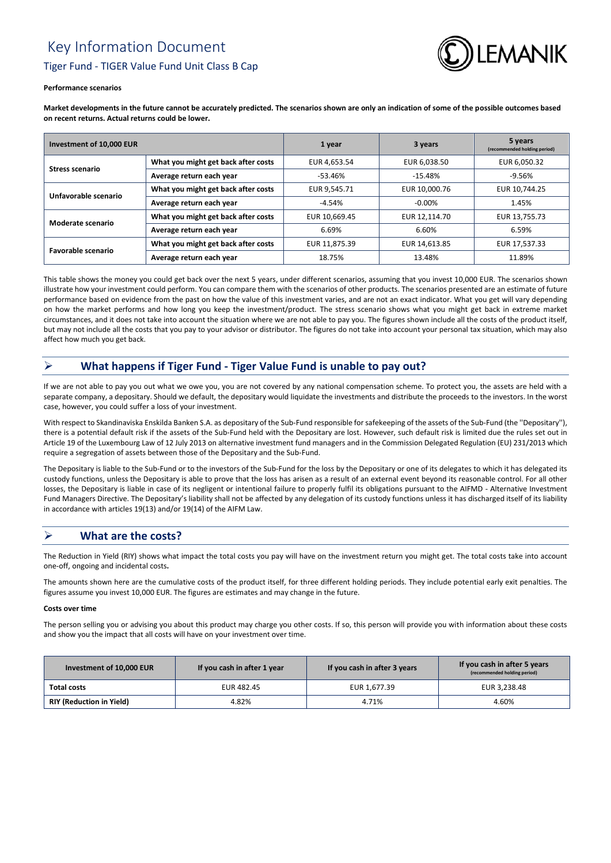# Key Information Document Tiger Fund - TIGER Value Fund Unit Class B Cap



#### **Performance scenarios**

**Market developments in the future cannot be accurately predicted. The scenarios shown are only an indication of some of the possible outcomes based on recent returns. Actual returns could be lower.**

| Investment of 10,000 EUR |                                     | 1 year        | 3 years       | 5 years<br>(recommended holding period) |
|--------------------------|-------------------------------------|---------------|---------------|-----------------------------------------|
| <b>Stress scenario</b>   | What you might get back after costs | EUR 4,653.54  | EUR 6,038.50  | EUR 6,050.32                            |
|                          | Average return each year            | $-53.46%$     | $-15.48%$     | $-9.56%$                                |
| Unfavorable scenario     | What you might get back after costs | EUR 9.545.71  | EUR 10.000.76 | EUR 10.744.25                           |
|                          | Average return each year            | $-4.54%$      | $-0.00\%$     | 1.45%                                   |
| Moderate scenario        | What you might get back after costs | EUR 10.669.45 | EUR 12.114.70 | EUR 13,755.73                           |
|                          | Average return each year            | 6.69%         | 6.60%         | 6.59%                                   |
| Favorable scenario       | What you might get back after costs | EUR 11.875.39 | EUR 14.613.85 | EUR 17,537.33                           |
|                          | Average return each year            | 18.75%        | 13.48%        | 11.89%                                  |

This table shows the money you could get back over the next 5 years, under different scenarios, assuming that you invest 10,000 EUR. The scenarios shown illustrate how your investment could perform. You can compare them with the scenarios of other products. The scenarios presented are an estimate of future performance based on evidence from the past on how the value of this investment varies, and are not an exact indicator. What you get will vary depending on how the market performs and how long you keep the investment/product. The stress scenario shows what you might get back in extreme market circumstances, and it does not take into account the situation where we are not able to pay you. The figures shown include all the costs of the product itself, but may not include all the costs that you pay to your advisor or distributor. The figures do not take into account your personal tax situation, which may also affect how much you get back.

# **What happens if Tiger Fund - Tiger Value Fund is unable to pay out?**

If we are not able to pay you out what we owe you, you are not covered by any national compensation scheme. To protect you, the assets are held with a separate company, a depositary. Should we default, the depositary would liquidate the investments and distribute the proceeds to the investors. In the worst case, however, you could suffer a loss of your investment.

With respect to Skandinaviska Enskilda Banken S.A. as depositary of the Sub-Fund responsible for safekeeping of the assets of the Sub-Fund (the ''Depositary''), there is a potential default risk if the assets of the Sub-Fund held with the Depositary are lost. However, such default risk is limited due the rules set out in Article 19 of the Luxembourg Law of 12 July 2013 on alternative investment fund managers and in the Commission Delegated Regulation (EU) 231/2013 which require a segregation of assets between those of the Depositary and the Sub-Fund.

The Depositary is liable to the Sub-Fund or to the investors of the Sub-Fund for the loss by the Depositary or one of its delegates to which it has delegated its custody functions, unless the Depositary is able to prove that the loss has arisen as a result of an external event beyond its reasonable control. For all other losses, the Depositary is liable in case of its negligent or intentional failure to properly fulfil its obligations pursuant to the AIFMD - Alternative Investment Fund Managers Directive. The Depositary's liability shall not be affected by any delegation of its custody functions unless it has discharged itself of its liability in accordance with articles 19(13) and/or 19(14) of the AIFM Law.

# **What are the costs?**

The Reduction in Yield (RIY) shows what impact the total costs you pay will have on the investment return you might get. The total costs take into account one-off, ongoing and incidental costs**.**

The amounts shown here are the cumulative costs of the product itself, for three different holding periods. They include potential early exit penalties. The figures assume you invest 10,000 EUR. The figures are estimates and may change in the future.

#### **Costs over time**

The person selling you or advising you about this product may charge you other costs. If so, this person will provide you with information about these costs and show you the impact that all costs will have on your investment over time.

| Investment of 10,000 EUR        | If you cash in after 1 year | If you cash in after 3 years | If you cash in after 5 years<br>(recommended holding period) |
|---------------------------------|-----------------------------|------------------------------|--------------------------------------------------------------|
| Total costs                     | EUR 482.45                  | EUR 1,677.39                 | EUR 3,238.48                                                 |
| <b>RIY (Reduction in Yield)</b> | 4.82%                       | 4.71%                        | 4.60%                                                        |